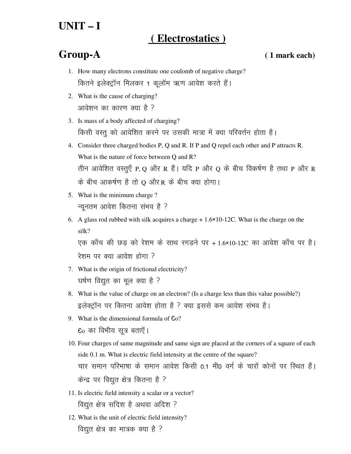# **UNIT – I**

## **( Electrostatics )**

### **Group-A ( 1 mark each)**

- 1. How many electrons constitute one coulomb of negative charge? कितने इलेक्ट्रॉन मिलकर 1 कूलॉम ऋण आवेश करते हैं।
- 2. What is the cause of charging? आवेशन का कारण क्या है ?
- 3. Is mass of a body affected of charging? किसी वस्तु को आवेशित करने पर उसकी मात्रा में क्या परिवर्त्तन होता है।
- 4. Consider three charged bodies P, Q and R. If P and Q repel each other and P attracts R. What is the nature of force between Q and R? तीन आवेशित वस्तुएँ P, Q और R हैं | यदि P और Q के बीच विकर्षण है तथा P और R  $\dot{\sigma}$  बीच आकर्षण है तो  $\dot{\Omega}$  और R के बीच क्या होगा।
- 5. What is the minimum charge ? न्यूनतम आवेश कितना संभव है ?
- 6. A glass rod rubbed with silk acquires a charge  $+1.6\times10-12$ C. What is the charge on the silk? एक काँच की छड़ को रेशम के साथ रगड़ने पर + 1.6×10-12C का आवेश काँच पर है।

रेशम पर क्या आवेश होगा ?

- 7. What is the origin of frictional electricity? घर्षण विद्युत का मूल क्या है ?
- 8. What is the value of charge on an electron? (Is a charge less than this value possible?) इलेक्ट्रॉन पर कितना आवेश होता है ? क्या इससे कम आवेश संभव है।
- 9. What is the dimensional formula of Єo?  $6o$  का विभीय सूत्र बताएँ।
- 10. Four charges of same magnitude and same sign are placed at the corners of a square of each side 0.1 m. What is electric field intensity at the centre of the square? चार समान परिभाषा के समान आवेश किसी 0.1 मी0 वर्ग के चारों कोनों पर स्थित हैं।  $\vec{r}$ केन्द्र पर विद्युत क्षेत्र कितना है ?
- 11. Is electric field intensity a scalar or a vector? विद्युत क्षेत्र सदिश है अथवा अदिश ?
- 12. What is the unit of electric field intensity? विद्युत क्षेत्र का मात्रक क्या है ?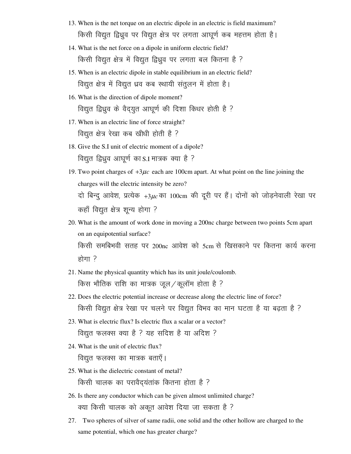- 13. When is the net torque on an electric dipole in an electric is field maximum? किसी विद्युत द्विध्रुव पर विद्युत क्षेत्र पर लगता आघूर्ण कब महत्तम होता है।
- 14. What is the net force on a dipole in uniform electric field? किसी विद्युत क्षेत्र में विद्युत द्विध्रुव पर लगता बल कितना है ?
- 15. When is an electric dipole in stable equilibrium in an electric field? विद्युत क्षेत्र में विद्युत ध्रव कब स्थायी संतुलन में होता है।
- 16. What is the direction of dipole moment? विद्युत द्विध्रुव के वैद्युत आघूर्ण की दिशा किधर होती है ?
- 17. When is an electric line of force straight? विद्युत क्षेत्र रेखा कब खीधी होती है ?
- 18. Give the S.I unit of electric moment of a dipole? विद्युत द्विध्रुव आघूर्ण का S.I मात्रक क्या है ?
- 19. Two point charges of +3µ*c* each are 100cm apart. At what point on the line joining the charges will the electric intensity be zero? दो बिन्दू आवेश, प्रत्येक +3 $\mu$ *c* का 100cm की दूरी पर हैं। दोनों को जोड़नेवाली रेखा पर कहाँ विद्युत क्षेत्र शून्य होगा ?
- 20. What is the amount of work done in moving a 200nc charge between two points 5cm apart on an equipotential surface? किसी समबिभवी सतह पर 200nc आवेश को 5cm से खिसकाने पर कितना कार्य करना  $\overline{\text{g}}$ गा $\overline{\text{g}}$
- 21. Name the physical quantity which has its unit joule/coulomb. किस भौतिक राशि का मात्रक जूल/कूलॉम होता है ?
- 22. Does the electric potential increase or decrease along the electric line of force? किसी विद्युत क्षेत्र रेखा पर चलने पर विद्युत विभव का मान घटता है या बढ़ता है ?
- 23. What is electric flux? Is electric flux a scalar or a vector? विद्युत फलक्स क्या है ? यह सदिश है या अदिश ?
- 24. What is the unit of electric flux? विद्युत फलक्स का मात्रक बताएँ।
- 25. What is the dielectric constant of metal? किसी चालक का परावैद्यंतांक कितना होता है ?
- 26. Is there any conductor which can be given almost unlimited charge? क्या किसी चालक को अकूत आवेश दिया जा सकता है ?
- 27. Two spheres of silver of same radii, one solid and the other hollow are charged to the same potential, which one has greater charge?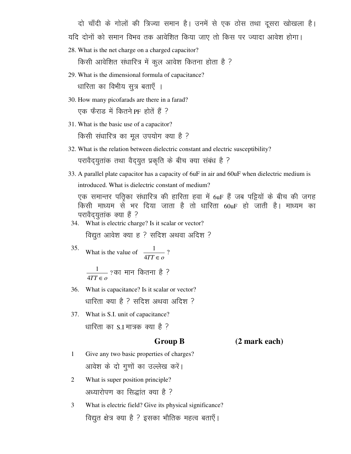दो चाँदी के गोलों की त्रिज्या समान है। उनमें से एक ठोस तथा दूसरा खोखला है।

यदि दोनों को समान विभव तक आवेशित किया जाए तो किस पर ज्यादा आवेश होगा।

28. What is the net charge on a charged capacitor?

किसी आवेशित संधारित्र में कुल आवेश कितना होता है ?

- 29. What is the dimensional formula of capacitance? धारिता का विभीय सुत्र बताएँ ।
- 30. How many picofarads are there in a farad? ,एक फैराड में कितने PF होतें हैं ?
- 31. What is the basic use of a capacitor? किसी संधारित्र का मूल उपयोग क्या है ?
- 32. What is the relation between dielectric constant and electric susceptibility? परावैद्युतांक तथा वैद्युत प्रकृति के बीच क्या संबंध है ?
- 33. A parallel plate capacitor has a capacity of 6uF in air and 60uF when dielectric medium is introduced. What is dielectric constant of medium?

एक समान्तर पतिका संधारित्र की हारिता हवा में 6uF हैं जब पट्टियों के बीच की जगह किसी माध्यम से भर दिया जाता है तो धारिता 60uF हो जाती है। माध्यम का परावैद्युतांक क्या हैं ?

34. What is electric charge? Is it scalar or vector?

विद्युत आवेश क्या ह ? सदिश अथवा अदिश ?

- 35. What is the value of  $\frac{1}{4TT \epsilon_0}$ ?  $\frac{1}{4TT \in o}$  ? का मान कितना है ?
- 36. What is capacitance? Is it scalar or vector? धारिता क्या है ? सदिश अथवा अदिश ?
- 37. What is S.I. unit of capacitance? धारिता का S.I मात्रक क्या है ?

 **Group B (2 mark each)**

- 1 Give any two basic properties of charges? आवेश के दो गुणों का उल्लेख करें।
- 2 What is super position principle? अध्यारोपण का सिद्धांत क्या है ?
- 3 What is electric field? Give its physical significance? विद्युत क्षेत्र क्या है ? इसका भौतिक महत्व बताएँ।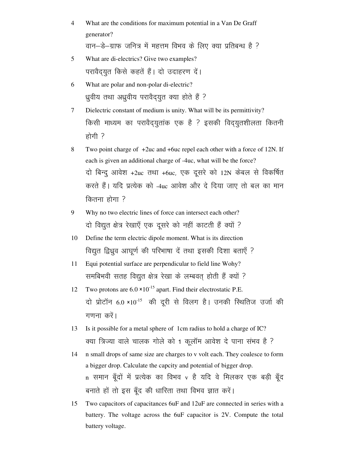- 4 What are the conditions for maximum potential in a Van De Graff generator? वान-डे-ग्राफ जनित्र में महत्तम विभव के लिए क्या प्रतिबन्ध है ?
- 5 What are di-electrics? Give two examples? परावैद्युत किसे कहतें हैं। दो उदाहरण दें।
- 6 What are polar and non-polar di-electric? ध्रुवीय तथा अध्रुवीय परावैद्युत क्या होते हैं ?
- 7 Dielectric constant of medium is unity. What will be its permittivity? किसी माध्यम का परावैद्युतांक एक है ? इसकी विद्युतशीलता कितनी होगी  $?$
- 8 Two point charge of +2uc and +6uc repel each other with a force of 12N. If each is given an additional charge of -4uc, what will be the force? दो बिन्दु आवेश +2uc तथा +6uc, एक दूसरे को 12N केबल से विकर्षित करते हैं। यदि प्रत्येक को -4uc आवेश और दे दिया जाए तो बल का मान  $\theta$ केतना होगा  $\theta$
- 9 Why no two electric lines of force can intersect each other? दो विद्युत क्षेत्र रेखाएँ एक दूसरे को नहीं काटती हैं क्यों ?
- 10 Define the term electric dipole moment. What is its direction विद्युत द्विध्रुव आघूर्ण की परिभाषा दें तथा इसकी दिशा बताएँ ?
- 11 Equi potential surface are perpendicular to field line Wohy? समबिभवी सतह विद्युत क्षेत्र रेखा के लम्बवत् होती हैं क्यों ?
- 12 Two protons are  $6.0 \times 10^{-15}$  apart. Find their electrostatic P.E. दो प्रोटॉन 6.0 ×10<sup>-15</sup> की दूरी से विलग है। उनकी स्थितिज उर्जा की गणना करें।
- 13 Is it possible for a metal sphere of 1cm radius to hold a charge of IC? क्या त्रिज्या वाले चालक गोले को 1 कुलॉम आवेश दे पाना संभव है ?
- 14 n small drops of same size are charges to v volt each. They coalesce to form a bigger drop. Calculate the capcity and potential of bigger drop. n समान बूँदों में प्रत्येक का विभव v है यदि वे मिलकर एक बड़ी बूँद बनाते हों तो इस बूँद की धारिता तथा विभव ज्ञात करें।
- 15 Two capacitors of capacitances 6uF and 12uF are connected in series with a battery. The voltage across the 6uF capacitor is 2V. Compute the total battery voltage.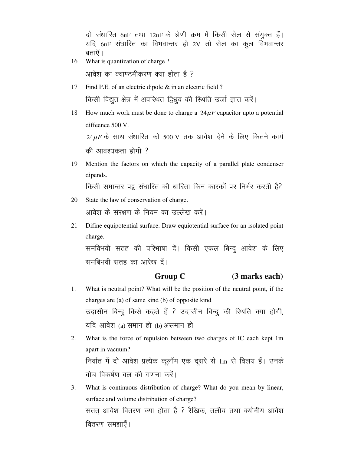दो संधारित 6uF तथा 12uF के श्रेणी क्रम में किसी सेल से संयुक्त हैं। यदि  $6uF$  संधारित का विभवान्तर हो 2V तो सेल का कूल विभवान्तर बताएँ ।

16 What is quantization of charge ?

आवेश का क्वाण्टमीकरण क्या होता है ?

- 17 Find P.E. of an electric dipole & in an electric field ? किसी विद्युत क्षेत्र में अवस्थित द्विध्रुव की स्थिति उर्जा ज्ञात करें।
- 18 How much work must be done to charge a  $24\mu$ F capacitor upto a potential diffeence 500 V.  $24\mu$ *F* के साथ संधारित को 500 V तक आवेश देने के लिए कितने कार्य की आवश्यकता होगी  $\overline{?}$
- 19 Mention the factors on which the capacity of a parallel plate condenser dipends.

किसी समान्तर पट्टू संधारित की धारिता किन कारकों पर निर्भर करती है?

- 20 State the law of conservation of charge. आवेश के संरक्षण के नियम का उल्लेख करें।
- 21 Difine equipotential surface. Draw equiotential surface for an isolated point charge. समविभवी सतह की परिभाषा दें। किसी एकल बिन्दु आवेश के लिए समबिभवी सतह का आरेख दें।

### **Group C (3 marks each)**

- 1. What is neutral point? What will be the position of the neutral point, if the charges are (a) of same kind (b) of opposite kind उदासीन बिन्दू किसे कहते हैं ? उदासीन बिन्दू की स्थिति क्या होगी, यदि आवेश  $(a)$  समान हो  $(b)$  असमान हो
- 2. What is the force of repulsion between two charges of IC each kept 1m apart in vacuum? निर्वात में दो आवेश प्रत्येक कूलॉम एक दूसरे से 1m से विलय हैं। उनके बीच विकर्षण बल की गणना करें।
- 3. What is continuous distribution of charge? What do you mean by linear, surface and volume distribution of charge? सतत् आवेश वितरण क्या होता है ? रैखिक, तलीय तथा क्योमीय आवेश वितरण समझाएँ।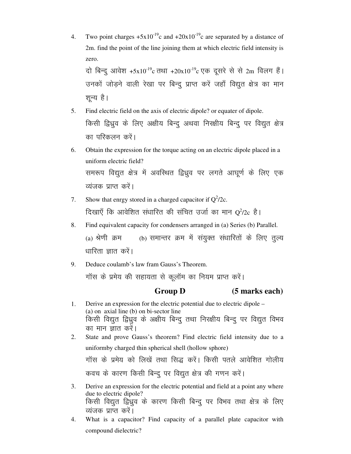- 4. Two point charges  $+5x10^{-19}c$  and  $+20x10^{-19}c$  are separated by a distance of 2m. find the point of the line joining them at which electric field intensity is zero. दो बिन्दू आवेश +5x10<sup>-19</sup>c तथा +20x10<sup>-19</sup>c एक दूसरे से से 2m विलग हैं। उनकों जोड़ने वाली रेखा पर बिन्दु प्राप्त करें जहाँ विद्युत क्षेत्र का मान
- 5. Find electric field on the axis of electric dipole? or equater of dipole. किसी द्विध्रव के लिए अक्षीय बिन्द अथवा निरक्षीय बिन्द पर विद्युत क्षेत्र का परिकलन करें।

शून्य है।

- 6. Obtain the expression for the torque acting on an electric dipole placed in a uniform electric field? समरूप विद्युत क्षेत्र में अवस्थित द्विध्रुव पर लगते आघूर्ण के लिए एक व्यंजक प्राप्त करें।
- 7. Show that enrgy stored in a charged capacitor if  $Q^2/2c$ . दिखाएँ कि आवेशित संधारित की संचित उर्जा का मान  $\rm Q^2/2c$  है।
- 8. Find equivalent capacity for condensers arranged in (a) Series (b) Parallel. (a) श्रेणी क्रम (b) समान्तर क्रम में संयुक्त संधारितों के लिए तुल्य धारिता ज्ञात करें।
- 9. Deduce coulamb's law fram Gauss's Theorem. गॉस के प्रमेय की सहायता से कूलॉम का नियम प्राप्त करें।

### **Group D** (5 marks each)

- 1. Derive an expression for the electric potential due to electric dipole (a) on axial line (b) on bi-sector line किसी विद्युत द्विध्रुव के अक्षीय बिन्दु तथा निरक्षीय बिन्दु पर विद्युत विभव का मान ज्ञात करें। 2. State and prove Gauss's theorem? Find electric field intensity due to a
	- uniformby charged thin spherical shell (hollow sphore)

गॉस के प्रमेय को लिखें तथा सिद्ध करें। किसी पतले आवेशित गोलीय कवच के कारण किसी बिन्दू पर विद्युत क्षेत्र की गणन करें।

- 3. Derive an expression for the electric potential and field at a point any where due to electric dipole? किसी विद्युत द्विध्रुव के कारण किसी बिन्दू पर विभव तथा क्षेत्र के लिए व्यंजक प्राप्त करें।
- 4. What is a capacitor? Find capacity of a parallel plate capacitor with compound dielectric?